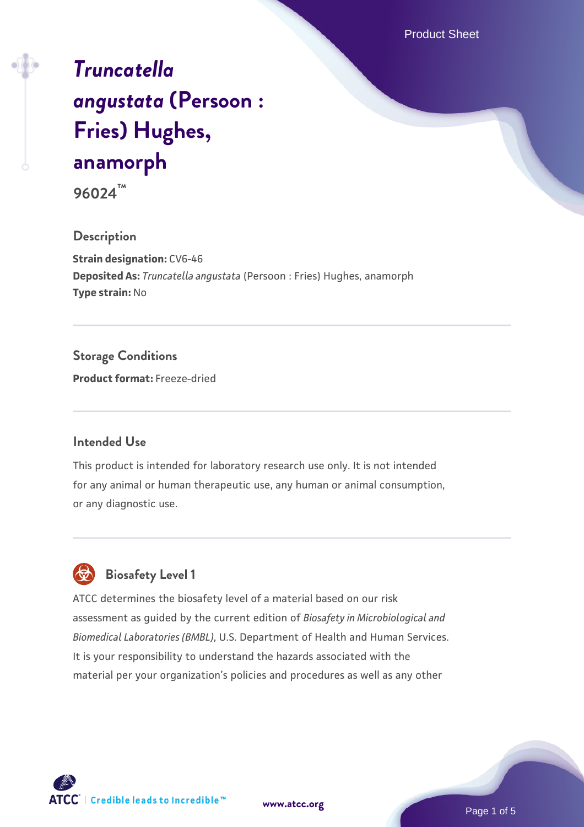Product Sheet

# *[Truncatella](https://www.atcc.org/products/96024) [angustata](https://www.atcc.org/products/96024)* **[\(Persoon :](https://www.atcc.org/products/96024) [Fries\) Hughes,](https://www.atcc.org/products/96024) [anamorph](https://www.atcc.org/products/96024)**

**96024™**

#### **Description**

**Strain designation:** CV6-46 **Deposited As:** *Truncatella angustata* (Persoon : Fries) Hughes, anamorph **Type strain:** No

### **Storage Conditions**

**Product format:** Freeze-dried

#### **Intended Use**

This product is intended for laboratory research use only. It is not intended for any animal or human therapeutic use, any human or animal consumption, or any diagnostic use.

### **Biosafety Level 1**

ATCC determines the biosafety level of a material based on our risk assessment as guided by the current edition of *Biosafety in Microbiological and Biomedical Laboratories (BMBL)*, U.S. Department of Health and Human Services. It is your responsibility to understand the hazards associated with the material per your organization's policies and procedures as well as any other



**[www.atcc.org](http://www.atcc.org)**

Page 1 of 5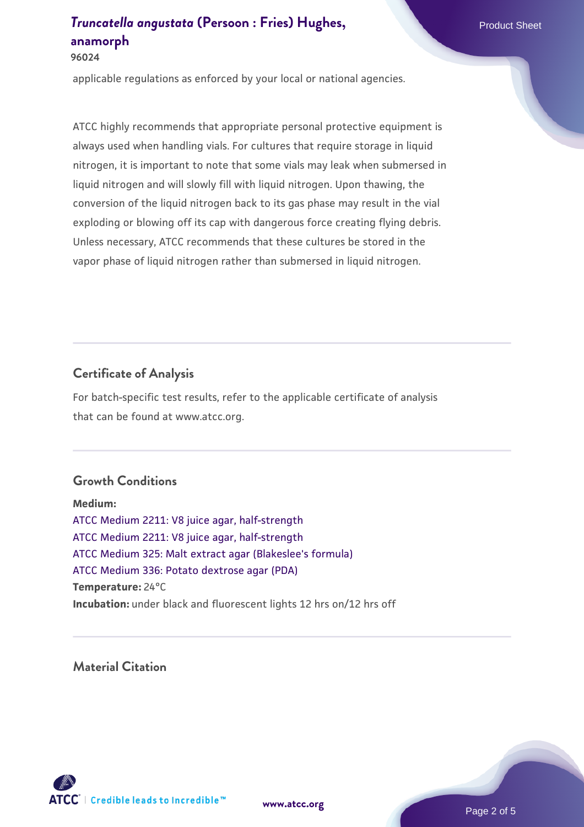### *[Truncatella angustata](https://www.atcc.org/products/96024)* [\(Persoon : Fries\) Hughes,](https://www.atcc.org/products/96024) Product Sheet **[anamorph](https://www.atcc.org/products/96024)**

**96024**

applicable regulations as enforced by your local or national agencies.

ATCC highly recommends that appropriate personal protective equipment is always used when handling vials. For cultures that require storage in liquid nitrogen, it is important to note that some vials may leak when submersed in liquid nitrogen and will slowly fill with liquid nitrogen. Upon thawing, the conversion of the liquid nitrogen back to its gas phase may result in the vial exploding or blowing off its cap with dangerous force creating flying debris. Unless necessary, ATCC recommends that these cultures be stored in the vapor phase of liquid nitrogen rather than submersed in liquid nitrogen.

### **Certificate of Analysis**

For batch-specific test results, refer to the applicable certificate of analysis that can be found at www.atcc.org.

### **Growth Conditions**

**Medium:**  [ATCC Medium 2211: V8 juice agar, half-strength](https://www.atcc.org/-/media/product-assets/documents/microbial-media-formulations/2/2/1/1/atcc-medium-2211.pdf?rev=556c7dd2b94b4c8994eb3adffa660619) [ATCC Medium 2211: V8 juice agar, half-strength](https://www.atcc.org/-/media/product-assets/documents/microbial-media-formulations/2/2/1/1/atcc-medium-2211.pdf?rev=556c7dd2b94b4c8994eb3adffa660619) [ATCC Medium 325: Malt extract agar \(Blakeslee's formula\)](https://www.atcc.org/-/media/product-assets/documents/microbial-media-formulations/3/2/5/atcc-medium-325.pdf?rev=146ec77015184a96912232dcb12386f9) [ATCC Medium 336: Potato dextrose agar \(PDA\)](https://www.atcc.org/-/media/product-assets/documents/microbial-media-formulations/3/3/6/atcc-medium-336.pdf?rev=d9160ad44d934cd8b65175461abbf3b9) **Temperature:** 24°C **Incubation:** under black and fluorescent lights 12 hrs on/12 hrs off

### **Material Citation**



**[www.atcc.org](http://www.atcc.org)**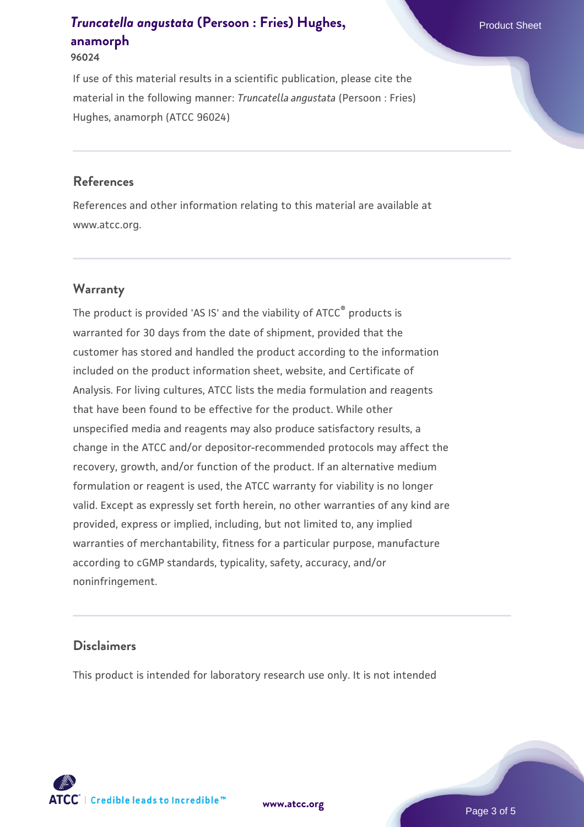## *[Truncatella angustata](https://www.atcc.org/products/96024)* [\(Persoon : Fries\) Hughes,](https://www.atcc.org/products/96024) Product Sheet **[anamorph](https://www.atcc.org/products/96024)**

**96024**

If use of this material results in a scientific publication, please cite the material in the following manner: *Truncatella angustata* (Persoon : Fries) Hughes, anamorph (ATCC 96024)

#### **References**

References and other information relating to this material are available at www.atcc.org.

### **Warranty**

The product is provided 'AS IS' and the viability of ATCC<sup>®</sup> products is warranted for 30 days from the date of shipment, provided that the customer has stored and handled the product according to the information included on the product information sheet, website, and Certificate of Analysis. For living cultures, ATCC lists the media formulation and reagents that have been found to be effective for the product. While other unspecified media and reagents may also produce satisfactory results, a change in the ATCC and/or depositor-recommended protocols may affect the recovery, growth, and/or function of the product. If an alternative medium formulation or reagent is used, the ATCC warranty for viability is no longer valid. Except as expressly set forth herein, no other warranties of any kind are provided, express or implied, including, but not limited to, any implied warranties of merchantability, fitness for a particular purpose, manufacture according to cGMP standards, typicality, safety, accuracy, and/or noninfringement.

### **Disclaimers**

This product is intended for laboratory research use only. It is not intended



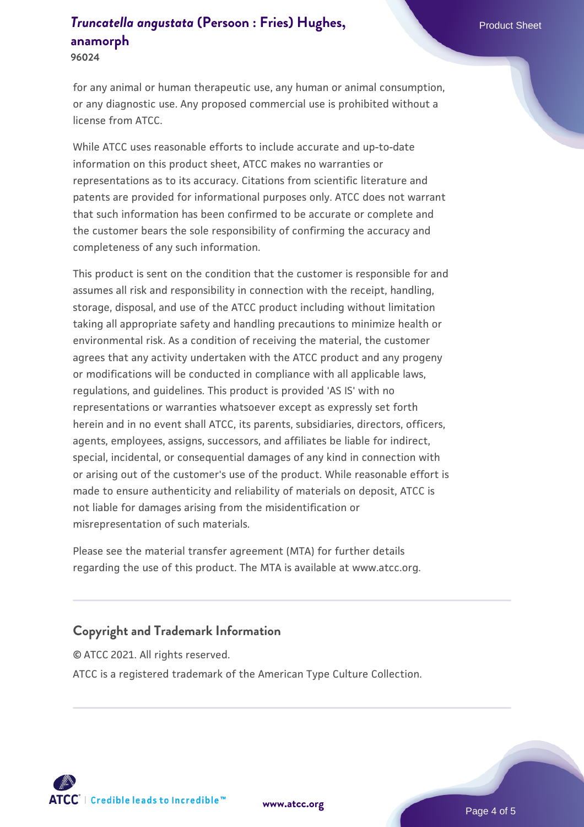### *[Truncatella angustata](https://www.atcc.org/products/96024)* [\(Persoon : Fries\) Hughes,](https://www.atcc.org/products/96024) Product Sheet **[anamorph](https://www.atcc.org/products/96024)**

**96024**

for any animal or human therapeutic use, any human or animal consumption, or any diagnostic use. Any proposed commercial use is prohibited without a license from ATCC.

While ATCC uses reasonable efforts to include accurate and up-to-date information on this product sheet, ATCC makes no warranties or representations as to its accuracy. Citations from scientific literature and patents are provided for informational purposes only. ATCC does not warrant that such information has been confirmed to be accurate or complete and the customer bears the sole responsibility of confirming the accuracy and completeness of any such information.

This product is sent on the condition that the customer is responsible for and assumes all risk and responsibility in connection with the receipt, handling, storage, disposal, and use of the ATCC product including without limitation taking all appropriate safety and handling precautions to minimize health or environmental risk. As a condition of receiving the material, the customer agrees that any activity undertaken with the ATCC product and any progeny or modifications will be conducted in compliance with all applicable laws, regulations, and guidelines. This product is provided 'AS IS' with no representations or warranties whatsoever except as expressly set forth herein and in no event shall ATCC, its parents, subsidiaries, directors, officers, agents, employees, assigns, successors, and affiliates be liable for indirect, special, incidental, or consequential damages of any kind in connection with or arising out of the customer's use of the product. While reasonable effort is made to ensure authenticity and reliability of materials on deposit, ATCC is not liable for damages arising from the misidentification or misrepresentation of such materials.

Please see the material transfer agreement (MTA) for further details regarding the use of this product. The MTA is available at www.atcc.org.

### **Copyright and Trademark Information**

© ATCC 2021. All rights reserved. ATCC is a registered trademark of the American Type Culture Collection.



**[www.atcc.org](http://www.atcc.org)**